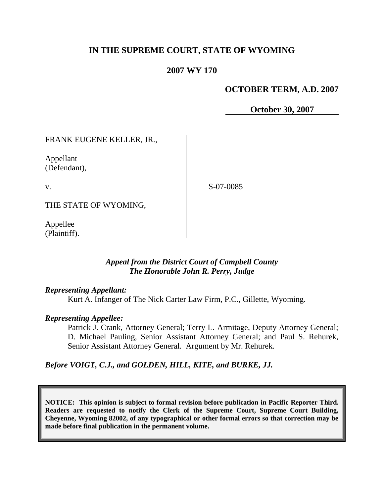# **IN THE SUPREME COURT, STATE OF WYOMING**

## **2007 WY 170**

### **OCTOBER TERM, A.D. 2007**

**October 30, 2007**

FRANK EUGENE KELLER, JR.,

Appellant (Defendant),

v.

S-07-0085

THE STATE OF WYOMING,

Appellee (Plaintiff).

### *Appeal from the District Court of Campbell County The Honorable John R. Perry, Judge*

### *Representing Appellant:*

Kurt A. Infanger of The Nick Carter Law Firm, P.C., Gillette, Wyoming.

### *Representing Appellee:*

Patrick J. Crank, Attorney General; Terry L. Armitage, Deputy Attorney General; D. Michael Pauling, Senior Assistant Attorney General; and Paul S. Rehurek, Senior Assistant Attorney General. Argument by Mr. Rehurek.

*Before VOIGT, C.J., and GOLDEN, HILL, KITE, and BURKE, JJ.*

**NOTICE: This opinion is subject to formal revision before publication in Pacific Reporter Third. Readers are requested to notify the Clerk of the Supreme Court, Supreme Court Building, Cheyenne, Wyoming 82002, of any typographical or other formal errors so that correction may be made before final publication in the permanent volume.**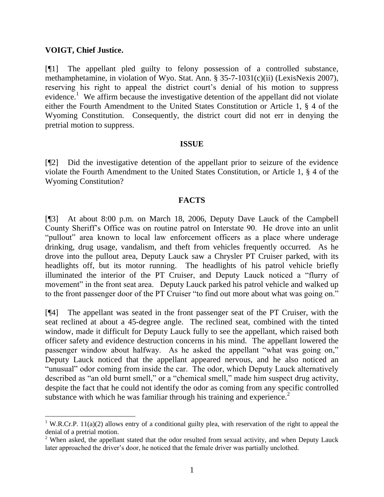#### **VOIGT, Chief Justice.**

 $\overline{a}$ 

[¶1] The appellant pled guilty to felony possession of a controlled substance, methamphetamine, in violation of Wyo. Stat. Ann. § 35-7-1031(c)(ii) (LexisNexis 2007), reserving his right to appeal the district court's denial of his motion to suppress evidence.<sup>1</sup> We affirm because the investigative detention of the appellant did not violate either the Fourth Amendment to the United States Constitution or Article 1, § 4 of the Wyoming Constitution. Consequently, the district court did not err in denying the pretrial motion to suppress.

#### **ISSUE**

[¶2] Did the investigative detention of the appellant prior to seizure of the evidence violate the Fourth Amendment to the United States Constitution, or Article 1, § 4 of the Wyoming Constitution?

#### **FACTS**

[¶3] At about 8:00 p.m. on March 18, 2006, Deputy Dave Lauck of the Campbell County Sheriff's Office was on routine patrol on Interstate 90. He drove into an unlit "pullout" area known to local law enforcement officers as a place where underage drinking, drug usage, vandalism, and theft from vehicles frequently occurred. As he drove into the pullout area, Deputy Lauck saw a Chrysler PT Cruiser parked, with its headlights off, but its motor running. The headlights of his patrol vehicle briefly illuminated the interior of the PT Cruiser, and Deputy Lauck noticed a "flurry of movement" in the front seat area. Deputy Lauck parked his patrol vehicle and walked up to the front passenger door of the PT Cruiser "to find out more about what was going on."

[¶4] The appellant was seated in the front passenger seat of the PT Cruiser, with the seat reclined at about a 45-degree angle. The reclined seat, combined with the tinted window, made it difficult for Deputy Lauck fully to see the appellant, which raised both officer safety and evidence destruction concerns in his mind. The appellant lowered the passenger window about halfway. As he asked the appellant "what was going on," Deputy Lauck noticed that the appellant appeared nervous, and he also noticed an "unusual" odor coming from inside the car. The odor, which Deputy Lauck alternatively described as "an old burnt smell," or a "chemical smell," made him suspect drug activity, despite the fact that he could not identify the odor as coming from any specific controlled substance with which he was familiar through his training and experience.<sup>2</sup>

<sup>&</sup>lt;sup>1</sup> W.R.Cr.P. 11(a)(2) allows entry of a conditional guilty plea, with reservation of the right to appeal the denial of a pretrial motion.

<sup>&</sup>lt;sup>2</sup> When asked, the appellant stated that the odor resulted from sexual activity, and when Deputy Lauck later approached the driver's door, he noticed that the female driver was partially unclothed.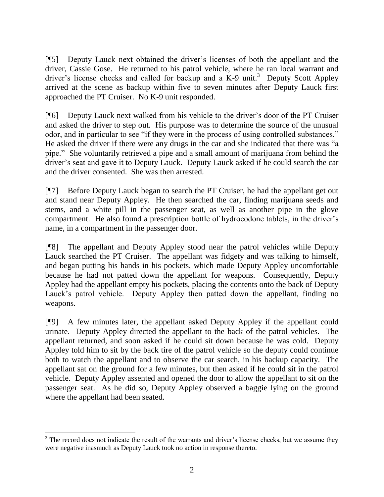[¶5] Deputy Lauck next obtained the driver's licenses of both the appellant and the driver, Cassie Gose. He returned to his patrol vehicle, where he ran local warrant and driver's license checks and called for backup and a K-9 unit.<sup>3</sup> Deputy Scott Appley arrived at the scene as backup within five to seven minutes after Deputy Lauck first approached the PT Cruiser. No K-9 unit responded.

[¶6] Deputy Lauck next walked from his vehicle to the driver's door of the PT Cruiser and asked the driver to step out. His purpose was to determine the source of the unusual odor, and in particular to see "if they were in the process of using controlled substances." He asked the driver if there were any drugs in the car and she indicated that there was "a pipe." She voluntarily retrieved a pipe and a small amount of marijuana from behind the driver's seat and gave it to Deputy Lauck. Deputy Lauck asked if he could search the car and the driver consented. She was then arrested.

[¶7] Before Deputy Lauck began to search the PT Cruiser, he had the appellant get out and stand near Deputy Appley. He then searched the car, finding marijuana seeds and stems, and a white pill in the passenger seat, as well as another pipe in the glove compartment. He also found a prescription bottle of hydrocodone tablets, in the driver's name, in a compartment in the passenger door.

[¶8] The appellant and Deputy Appley stood near the patrol vehicles while Deputy Lauck searched the PT Cruiser. The appellant was fidgety and was talking to himself, and began putting his hands in his pockets, which made Deputy Appley uncomfortable because he had not patted down the appellant for weapons. Consequently, Deputy Appley had the appellant empty his pockets, placing the contents onto the back of Deputy Lauck's patrol vehicle. Deputy Appley then patted down the appellant, finding no weapons.

[¶9] A few minutes later, the appellant asked Deputy Appley if the appellant could urinate. Deputy Appley directed the appellant to the back of the patrol vehicles. The appellant returned, and soon asked if he could sit down because he was cold. Deputy Appley told him to sit by the back tire of the patrol vehicle so the deputy could continue both to watch the appellant and to observe the car search, in his backup capacity. The appellant sat on the ground for a few minutes, but then asked if he could sit in the patrol vehicle. Deputy Appley assented and opened the door to allow the appellant to sit on the passenger seat. As he did so, Deputy Appley observed a baggie lying on the ground where the appellant had been seated.

<sup>&</sup>lt;sup>3</sup> The record does not indicate the result of the warrants and driver's license checks, but we assume they were negative inasmuch as Deputy Lauck took no action in response thereto.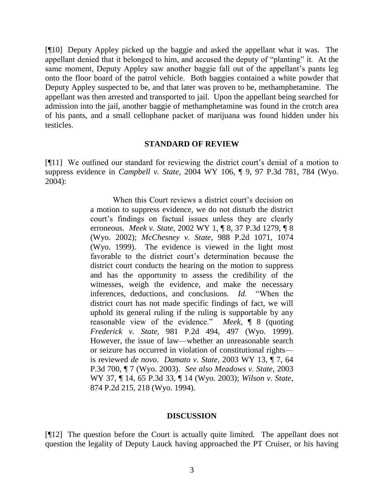[¶10] Deputy Appley picked up the baggie and asked the appellant what it was. The appellant denied that it belonged to him, and accused the deputy of "planting" it. At the same moment, Deputy Appley saw another baggie fall out of the appellant's pants leg onto the floor board of the patrol vehicle. Both baggies contained a white powder that Deputy Appley suspected to be, and that later was proven to be, methamphetamine. The appellant was then arrested and transported to jail. Upon the appellant being searched for admission into the jail, another baggie of methamphetamine was found in the crotch area of his pants, and a small cellophane packet of marijuana was found hidden under his testicles.

#### **STANDARD OF REVIEW**

[¶11] We outlined our standard for reviewing the district court's denial of a motion to suppress evidence in *Campbell v. State*, 2004 WY 106, ¶ 9, 97 P.3d 781, 784 (Wyo. 2004):

> When this Court reviews a district court's decision on a motion to suppress evidence, we do not disturb the district court's findings on factual issues unless they are clearly erroneous. *Meek v. State*, 2002 WY 1, ¶ 8, 37 P.3d 1279, ¶ 8 (Wyo. 2002); *McChesney v. State*, 988 P.2d 1071, 1074 (Wyo. 1999). The evidence is viewed in the light most favorable to the district court's determination because the district court conducts the hearing on the motion to suppress and has the opportunity to assess the credibility of the witnesses, weigh the evidence, and make the necessary inferences, deductions, and conclusions. *Id*. "When the district court has not made specific findings of fact, we will uphold its general ruling if the ruling is supportable by any reasonable view of the evidence." *Meek*, ¶ 8 (quoting *Frederick v. State*, 981 P.2d 494, 497 (Wyo. 1999). However, the issue of law—whether an unreasonable search or seizure has occurred in violation of constitutional rights is reviewed *de novo*. *Damato v. State*, 2003 WY 13, ¶ 7, 64 P.3d 700, ¶ 7 (Wyo. 2003). *See also Meadows v. State*, 2003 WY 37, ¶ 14, 65 P.3d 33, ¶ 14 (Wyo. 2003); *Wilson v. State*, 874 P.2d 215, 218 (Wyo. 1994).

### **DISCUSSION**

[¶12] The question before the Court is actually quite limited. The appellant does not question the legality of Deputy Lauck having approached the PT Cruiser, or his having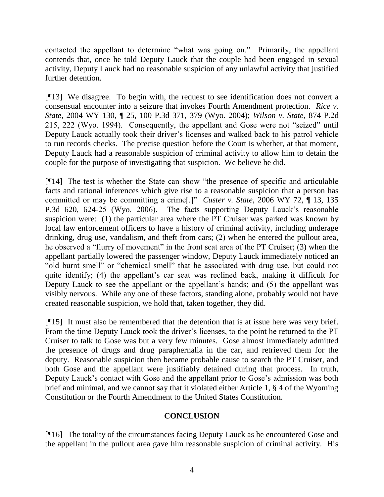contacted the appellant to determine "what was going on." Primarily, the appellant contends that, once he told Deputy Lauck that the couple had been engaged in sexual activity, Deputy Lauck had no reasonable suspicion of any unlawful activity that justified further detention.

[¶13] We disagree. To begin with, the request to see identification does not convert a consensual encounter into a seizure that invokes Fourth Amendment protection. *Rice v. State*, 2004 WY 130, ¶ 25, 100 P.3d 371, 379 (Wyo. 2004); *Wilson v. State*, 874 P.2d 215, 222 (Wyo. 1994). Consequently, the appellant and Gose were not "seized" until Deputy Lauck actually took their driver's licenses and walked back to his patrol vehicle to run records checks. The precise question before the Court is whether, at that moment, Deputy Lauck had a reasonable suspicion of criminal activity to allow him to detain the couple for the purpose of investigating that suspicion. We believe he did.

[¶14] The test is whether the State can show "the presence of specific and articulable facts and rational inferences which give rise to a reasonable suspicion that a person has committed or may be committing a crime[.]" *Custer v. State*, 2006 WY 72, ¶ 13, 135 P.3d 620, 624-25 (Wyo. 2006). The facts supporting Deputy Lauck's reasonable suspicion were: (1) the particular area where the PT Cruiser was parked was known by local law enforcement officers to have a history of criminal activity, including underage drinking, drug use, vandalism, and theft from cars; (2) when he entered the pullout area, he observed a "flurry of movement" in the front seat area of the PT Cruiser; (3) when the appellant partially lowered the passenger window, Deputy Lauck immediately noticed an "old burnt smell" or "chemical smell" that he associated with drug use, but could not quite identify; (4) the appellant's car seat was reclined back, making it difficult for Deputy Lauck to see the appellant or the appellant's hands; and (5) the appellant was visibly nervous. While any one of these factors, standing alone, probably would not have created reasonable suspicion, we hold that, taken together, they did.

[¶15] It must also be remembered that the detention that is at issue here was very brief. From the time Deputy Lauck took the driver's licenses, to the point he returned to the PT Cruiser to talk to Gose was but a very few minutes. Gose almost immediately admitted the presence of drugs and drug paraphernalia in the car, and retrieved them for the deputy. Reasonable suspicion then became probable cause to search the PT Cruiser, and both Gose and the appellant were justifiably detained during that process. In truth, Deputy Lauck's contact with Gose and the appellant prior to Gose's admission was both brief and minimal, and we cannot say that it violated either Article 1, § 4 of the Wyoming Constitution or the Fourth Amendment to the United States Constitution.

### **CONCLUSION**

[¶16] The totality of the circumstances facing Deputy Lauck as he encountered Gose and the appellant in the pullout area gave him reasonable suspicion of criminal activity. His